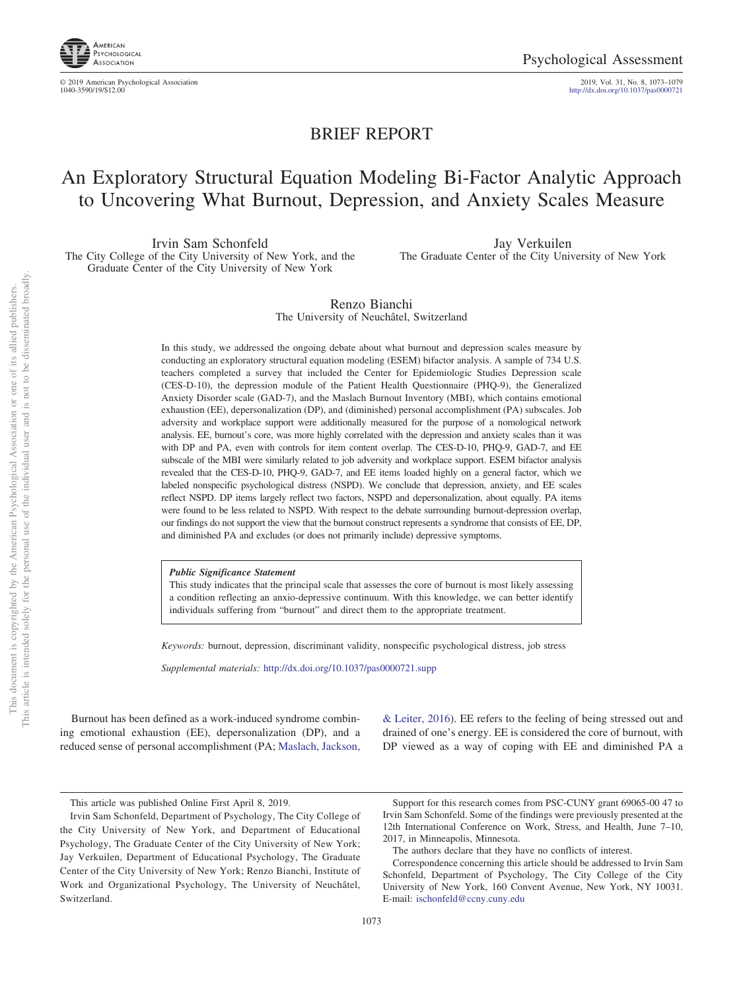

© 2019 American Psychological Association 2019, Vol. 31, No. 8, 1073–1079

1040-3590/19/\$12.00 http://dx.doi.org[/10.1037/pas0000721](http://dx.doi.org/10.1037/pas0000721)

# BRIEF REPORT

# An Exploratory Structural Equation Modeling Bi-Factor Analytic Approach to Uncovering What Burnout, Depression, and Anxiety Scales Measure

Irvin Sam Schonfeld The City College of the City University of New York, and the Graduate Center of the City University of New York

Jay Verkuilen The Graduate Center of the City University of New York

Renzo Bianchi The University of Neuchâtel, Switzerland

In this study, we addressed the ongoing debate about what burnout and depression scales measure by conducting an exploratory structural equation modeling (ESEM) bifactor analysis. A sample of 734 U.S. teachers completed a survey that included the Center for Epidemiologic Studies Depression scale (CES-D-10), the depression module of the Patient Health Questionnaire (PHQ-9), the Generalized Anxiety Disorder scale (GAD-7), and the Maslach Burnout Inventory (MBI), which contains emotional exhaustion (EE), depersonalization (DP), and (diminished) personal accomplishment (PA) subscales. Job adversity and workplace support were additionally measured for the purpose of a nomological network analysis. EE, burnout's core, was more highly correlated with the depression and anxiety scales than it was with DP and PA, even with controls for item content overlap. The CES-D-10, PHQ-9, GAD-7, and EE subscale of the MBI were similarly related to job adversity and workplace support. ESEM bifactor analysis revealed that the CES-D-10, PHQ-9, GAD-7, and EE items loaded highly on a general factor, which we labeled nonspecific psychological distress (NSPD). We conclude that depression, anxiety, and EE scales reflect NSPD. DP items largely reflect two factors, NSPD and depersonalization, about equally. PA items were found to be less related to NSPD. With respect to the debate surrounding burnout-depression overlap, our findings do not support the view that the burnout construct represents a syndrome that consists of EE, DP, and diminished PA and excludes (or does not primarily include) depressive symptoms.

*Public Significance Statement*

This study indicates that the principal scale that assesses the core of burnout is most likely assessing a condition reflecting an anxio-depressive continuum. With this knowledge, we can better identify individuals suffering from "burnout" and direct them to the appropriate treatment.

*Keywords:* burnout, depression, discriminant validity, nonspecific psychological distress, job stress

*Supplemental materials:* http://dx.doi.org/10.1037/pas0000721.supp

Burnout has been defined as a work-induced syndrome combining emotional exhaustion (EE), depersonalization (DP), and a reduced sense of personal accomplishment (PA; [Maslach, Jackson,](#page-5-0) [& Leiter, 2016\)](#page-5-0). EE refers to the feeling of being stressed out and drained of one's energy. EE is considered the core of burnout, with DP viewed as a way of coping with EE and diminished PA a

This article was published Online First April 8, 2019.

Support for this research comes from PSC-CUNY grant 69065-00 47 to Irvin Sam Schonfeld. Some of the findings were previously presented at the 12th International Conference on Work, Stress, and Health, June 7–10, 2017, in Minneapolis, Minnesota.

Irvin Sam Schonfeld, Department of Psychology, The City College of the City University of New York, and Department of Educational Psychology, The Graduate Center of the City University of New York; Jay Verkuilen, Department of Educational Psychology, The Graduate Center of the City University of New York; Renzo Bianchi, Institute of Work and Organizational Psychology, The University of Neuchâtel, Switzerland.

The authors declare that they have no conflicts of interest.

Correspondence concerning this article should be addressed to Irvin Sam Schonfeld, Department of Psychology, The City College of the City University of New York, 160 Convent Avenue, New York, NY 10031. E-mail: [ischonfeld@ccny.cuny.edu](mailto:ischonfeld@ccny.cuny.edu)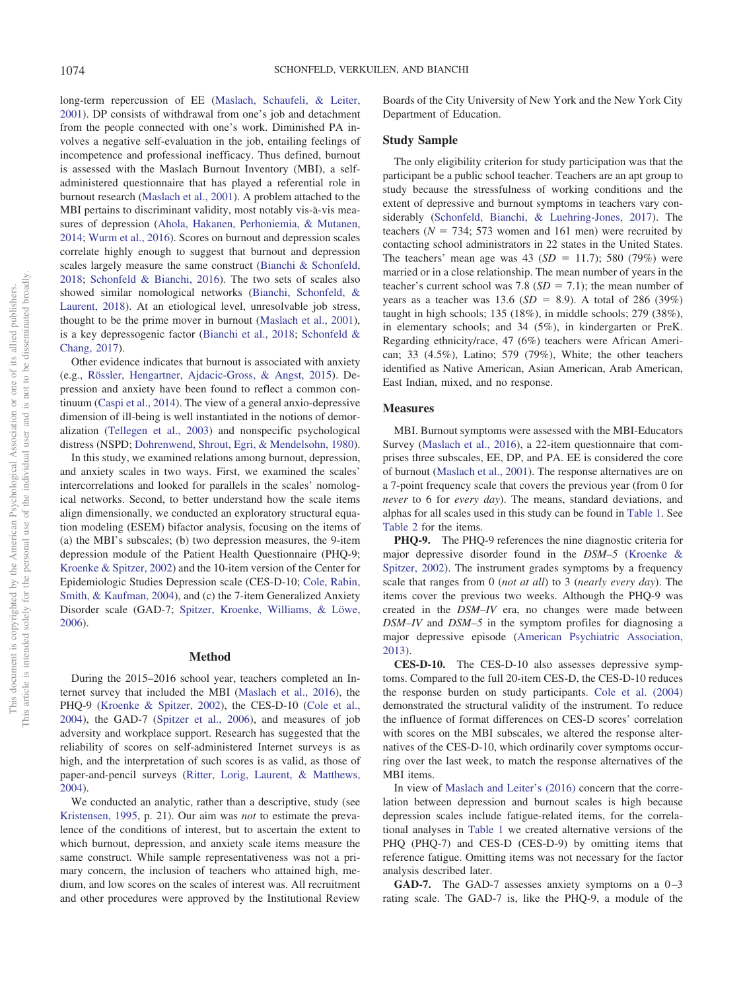long-term repercussion of EE [\(Maslach, Schaufeli, & Leiter,](#page-5-1) [2001\)](#page-5-1). DP consists of withdrawal from one's job and detachment from the people connected with one's work. Diminished PA involves a negative self-evaluation in the job, entailing feelings of incompetence and professional inefficacy. Thus defined, burnout is assessed with the Maslach Burnout Inventory (MBI), a selfadministered questionnaire that has played a referential role in burnout research [\(Maslach et al., 2001\)](#page-5-1). A problem attached to the MBI pertains to discriminant validity, most notably vis-à-vis measures of depression [\(Ahola, Hakanen, Perhoniemia, & Mutanen,](#page-5-2) [2014;](#page-5-2) [Wurm et al., 2016\)](#page-6-0). Scores on burnout and depression scales correlate highly enough to suggest that burnout and depression scales largely measure the same construct [\(Bianchi & Schonfeld,](#page-5-3) [2018;](#page-5-3) [Schonfeld & Bianchi, 2016\)](#page-6-1). The two sets of scales also showed similar nomological networks [\(Bianchi, Schonfeld, &](#page-5-4) [Laurent, 2018\)](#page-5-4). At an etiological level, unresolvable job stress, thought to be the prime mover in burnout [\(Maslach et al., 2001\)](#page-5-1), is a key depressogenic factor [\(Bianchi et al., 2018;](#page-5-3) [Schonfeld &](#page-6-2) [Chang, 2017\)](#page-6-2).

Other evidence indicates that burnout is associated with anxiety (e.g., [Rössler, Hengartner, Ajdacic-Gross, & Angst, 2015\)](#page-5-5). Depression and anxiety have been found to reflect a common continuum [\(Caspi et al., 2014\)](#page-5-6). The view of a general anxio-depressive dimension of ill-being is well instantiated in the notions of demoralization [\(Tellegen et al., 2003\)](#page-6-3) and nonspecific psychological distress (NSPD; [Dohrenwend, Shrout, Egri, & Mendelsohn, 1980\)](#page-5-7).

In this study, we examined relations among burnout, depression, and anxiety scales in two ways. First, we examined the scales' intercorrelations and looked for parallels in the scales' nomological networks. Second, to better understand how the scale items align dimensionally, we conducted an exploratory structural equation modeling (ESEM) bifactor analysis, focusing on the items of (a) the MBI's subscales; (b) two depression measures, the 9-item depression module of the Patient Health Questionnaire (PHQ-9; [Kroenke & Spitzer, 2002\)](#page-5-8) and the 10-item version of the Center for Epidemiologic Studies Depression scale (CES-D-10; [Cole, Rabin,](#page-5-9) [Smith, & Kaufman, 2004\)](#page-5-9), and (c) the 7-item Generalized Anxiety Disorder scale (GAD-7; [Spitzer, Kroenke, Williams, & Löwe,](#page-6-4) [2006\)](#page-6-4).

#### **Method**

During the 2015–2016 school year, teachers completed an Internet survey that included the MBI [\(Maslach et al., 2016\)](#page-5-0), the PHQ-9 [\(Kroenke & Spitzer, 2002\)](#page-5-8), the CES-D-10 [\(Cole et al.,](#page-5-9) [2004\)](#page-5-9), the GAD-7 [\(Spitzer et al., 2006\)](#page-6-4), and measures of job adversity and workplace support. Research has suggested that the reliability of scores on self-administered Internet surveys is as high, and the interpretation of such scores is as valid, as those of paper-and-pencil surveys [\(Ritter, Lorig, Laurent, & Matthews,](#page-5-10) [2004\)](#page-5-10).

We conducted an analytic, rather than a descriptive, study (see [Kristensen, 1995,](#page-5-11) p. 21). Our aim was *not* to estimate the prevalence of the conditions of interest, but to ascertain the extent to which burnout, depression, and anxiety scale items measure the same construct. While sample representativeness was not a primary concern, the inclusion of teachers who attained high, medium, and low scores on the scales of interest was. All recruitment and other procedures were approved by the Institutional Review

Boards of the City University of New York and the New York City Department of Education.

#### **Study Sample**

The only eligibility criterion for study participation was that the participant be a public school teacher. Teachers are an apt group to study because the stressfulness of working conditions and the extent of depressive and burnout symptoms in teachers vary considerably [\(Schonfeld, Bianchi, & Luehring-Jones, 2017\)](#page-6-5). The teachers ( $N = 734$ ; 573 women and 161 men) were recruited by contacting school administrators in 22 states in the United States. The teachers' mean age was  $43 (SD = 11.7)$ ; 580 (79%) were married or in a close relationship. The mean number of years in the teacher's current school was  $7.8$  ( $SD = 7.1$ ); the mean number of years as a teacher was  $13.6$  (*SD* = 8.9). A total of 286 (39%) taught in high schools; 135 (18%), in middle schools; 279 (38%), in elementary schools; and 34 (5%), in kindergarten or PreK. Regarding ethnicity/race, 47 (6%) teachers were African American; 33 (4.5%), Latino; 579 (79%), White; the other teachers identified as Native American, Asian American, Arab American, East Indian, mixed, and no response.

#### **Measures**

MBI. Burnout symptoms were assessed with the MBI-Educators Survey [\(Maslach et al., 2016\)](#page-5-0), a 22-item questionnaire that comprises three subscales, EE, DP, and PA. EE is considered the core of burnout [\(Maslach et al., 2001\)](#page-5-1). The response alternatives are on a 7-point frequency scale that covers the previous year (from 0 for *never* to 6 for *every day*). The means, standard deviations, and alphas for all scales used in this study can be found in [Table 1.](#page-2-0) See [Table 2](#page-3-0) for the items.

**PHQ-9.** The PHQ-9 references the nine diagnostic criteria for major depressive disorder found in the *DSM–5* [\(Kroenke &](#page-5-8) [Spitzer, 2002\)](#page-5-8). The instrument grades symptoms by a frequency scale that ranges from 0 (*not at all*) to 3 (*nearly every day*). The items cover the previous two weeks. Although the PHQ-9 was created in the *DSM–IV* era, no changes were made between *DSM–IV* and *DSM–5* in the symptom profiles for diagnosing a major depressive episode [\(American Psychiatric Association,](#page-5-12) [2013\)](#page-5-12).

**CES-D-10.** The CES-D-10 also assesses depressive symptoms. Compared to the full 20-item CES-D, the CES-D-10 reduces the response burden on study participants. [Cole et al. \(2004\)](#page-5-9) demonstrated the structural validity of the instrument. To reduce the influence of format differences on CES-D scores' correlation with scores on the MBI subscales, we altered the response alternatives of the CES-D-10, which ordinarily cover symptoms occurring over the last week, to match the response alternatives of the MBI items.

In view of [Maslach and Leiter's \(2016\)](#page-5-13) concern that the correlation between depression and burnout scales is high because depression scales include fatigue-related items, for the correlational analyses in [Table 1](#page-2-0) we created alternative versions of the PHQ (PHQ-7) and CES-D (CES-D-9) by omitting items that reference fatigue. Omitting items was not necessary for the factor analysis described later.

**GAD-7.** The GAD-7 assesses anxiety symptoms on a  $0-3$ rating scale. The GAD-7 is, like the PHQ-9, a module of the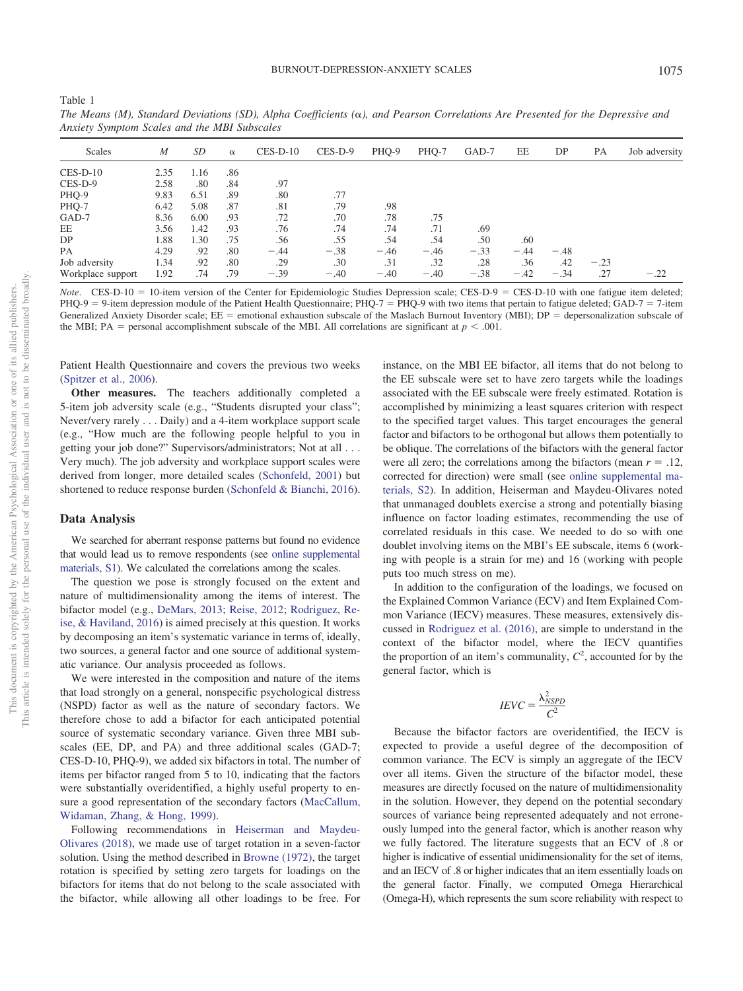| Anxiety Symptom Scales and the MDI Subscales |                  |      |          |            |         |        |        |        |        |        |        |               |
|----------------------------------------------|------------------|------|----------|------------|---------|--------|--------|--------|--------|--------|--------|---------------|
| Scales                                       | $\boldsymbol{M}$ | SD   | $\alpha$ | $CES-D-10$ | CES-D-9 | PHQ-9  | PHQ-7  | GAD-7  | EE     | DP     | PA     | Job adversity |
| $CES-D-10$                                   | 2.35             | 1.16 | .86      |            |         |        |        |        |        |        |        |               |
| $CES-D-9$                                    | 2.58             | .80  | .84      | .97        |         |        |        |        |        |        |        |               |
| PHQ-9                                        | 9.83             | 6.51 | .89      | .80        | .77     |        |        |        |        |        |        |               |
| PHQ-7                                        | 6.42             | 5.08 | .87      | .81        | .79     | .98    |        |        |        |        |        |               |
| GAD-7                                        | 8.36             | 6.00 | .93      | .72        | .70     | .78    | .75    |        |        |        |        |               |
| EE                                           | 3.56             | 1.42 | .93      | .76        | .74     | .74    | .71    | .69    |        |        |        |               |
| DP                                           | 1.88             | 1.30 | .75      | .56        | .55     | .54    | .54    | .50    | .60    |        |        |               |
| PA                                           | 4.29             | .92  | .80      | $-.44$     | $-.38$  | $-.46$ | $-.46$ | $-.33$ | $-.44$ | $-.48$ |        |               |
| Job adversity                                | 1.34             | .92  | .80      | .29        | .30     | .31    | .32    | .28    | .36    | .42    | $-.23$ |               |
| Workplace support                            | 1.92             | .74  | .79      | $-.39$     | $-.40$  | $-.40$ | $-.40$ | $-.38$ | $-.42$ | $-.34$ | .27    | $-.22$        |

*The Means (M), Standard Deviations (SD), Alpha Coefficients (), and Pearson Correlations Are Presented for the Depressive and Anxiety Symptom Scales and the MBI Subscales*

*Note*. CES-D-10 = 10-item version of the Center for Epidemiologic Studies Depression scale; CES-D-9 = CES-D-10 with one fatigue item deleted;  $PHQ-9 = 9$ -item depression module of the Patient Health Questionnaire; PHQ-7 = PHQ-9 with two items that pertain to fatigue deleted; GAD-7 = 7-item Generalized Anxiety Disorder scale; EE = emotional exhaustion subscale of the Maslach Burnout Inventory (MBI); DP = depersonalization subscale of the MBI; PA = personal accomplishment subscale of the MBI. All correlations are significant at  $p < .001$ .

Patient Health Questionnaire and covers the previous two weeks [\(Spitzer et al., 2006\)](#page-6-4).

**Other measures.** The teachers additionally completed a 5-item job adversity scale (e.g., "Students disrupted your class"; Never/very rarely . . . Daily) and a 4-item workplace support scale (e.g., "How much are the following people helpful to you in getting your job done?" Supervisors/administrators; Not at all... Very much). The job adversity and workplace support scales were derived from longer, more detailed scales [\(Schonfeld, 2001\)](#page-6-6) but shortened to reduce response burden [\(Schonfeld & Bianchi, 2016\)](#page-6-1).

#### **Data Analysis**

<span id="page-2-0"></span>Table 1

We searched for aberrant response patterns but found no evidence that would lead us to remove respondents (see [online supplemental](http://dx.doi.org/10.1037/pas0000721.supp) [materials, S1\)](http://dx.doi.org/10.1037/pas0000721.supp). We calculated the correlations among the scales.

The question we pose is strongly focused on the extent and nature of multidimensionality among the items of interest. The bifactor model (e.g., [DeMars, 2013;](#page-5-14) [Reise, 2012;](#page-5-15) [Rodriguez, Re](#page-5-16)[ise, & Haviland, 2016\)](#page-5-16) is aimed precisely at this question. It works by decomposing an item's systematic variance in terms of, ideally, two sources, a general factor and one source of additional systematic variance. Our analysis proceeded as follows.

We were interested in the composition and nature of the items that load strongly on a general, nonspecific psychological distress (NSPD) factor as well as the nature of secondary factors. We therefore chose to add a bifactor for each anticipated potential source of systematic secondary variance. Given three MBI subscales (EE, DP, and PA) and three additional scales (GAD-7; CES-D-10, PHQ-9), we added six bifactors in total. The number of items per bifactor ranged from 5 to 10, indicating that the factors were substantially overidentified, a highly useful property to ensure a good representation of the secondary factors [\(MacCallum,](#page-5-17) [Widaman, Zhang, & Hong, 1999\)](#page-5-17).

Following recommendations in [Heiserman and Maydeu-](#page-5-18)[Olivares \(2018\),](#page-5-18) we made use of target rotation in a seven-factor solution. Using the method described in [Browne \(1972\),](#page-5-19) the target rotation is specified by setting zero targets for loadings on the bifactors for items that do not belong to the scale associated with the bifactor, while allowing all other loadings to be free. For

instance, on the MBI EE bifactor, all items that do not belong to the EE subscale were set to have zero targets while the loadings associated with the EE subscale were freely estimated. Rotation is accomplished by minimizing a least squares criterion with respect to the specified target values. This target encourages the general factor and bifactors to be orthogonal but allows them potentially to be oblique. The correlations of the bifactors with the general factor were all zero; the correlations among the bifactors (mean  $r = .12$ , corrected for direction) were small (see [online supplemental ma](http://dx.doi.org/10.1037/pas0000721.supp)[terials, S2\)](http://dx.doi.org/10.1037/pas0000721.supp). In addition, Heiserman and Maydeu-Olivares noted that unmanaged doublets exercise a strong and potentially biasing influence on factor loading estimates, recommending the use of correlated residuals in this case. We needed to do so with one doublet involving items on the MBI's EE subscale, items 6 (working with people is a strain for me) and 16 (working with people puts too much stress on me).

In addition to the configuration of the loadings, we focused on the Explained Common Variance (ECV) and Item Explained Common Variance (IECV) measures. These measures, extensively discussed in [Rodriguez et al. \(2016\),](#page-5-16) are simple to understand in the context of the bifactor model, where the IECV quantifies the proportion of an item's communality,  $C^2$ , accounted for by the general factor, which is

$$
IEVC = \frac{\lambda_{NSPD}^2}{C^2}
$$

Because the bifactor factors are overidentified, the IECV is expected to provide a useful degree of the decomposition of common variance. The ECV is simply an aggregate of the IECV over all items. Given the structure of the bifactor model, these measures are directly focused on the nature of multidimensionality in the solution. However, they depend on the potential secondary sources of variance being represented adequately and not erroneously lumped into the general factor, which is another reason why we fully factored. The literature suggests that an ECV of .8 or higher is indicative of essential unidimensionality for the set of items, and an IECV of .8 or higher indicates that an item essentially loads on the general factor. Finally, we computed Omega Hierarchical (Omega-H), which represents the sum score reliability with respect to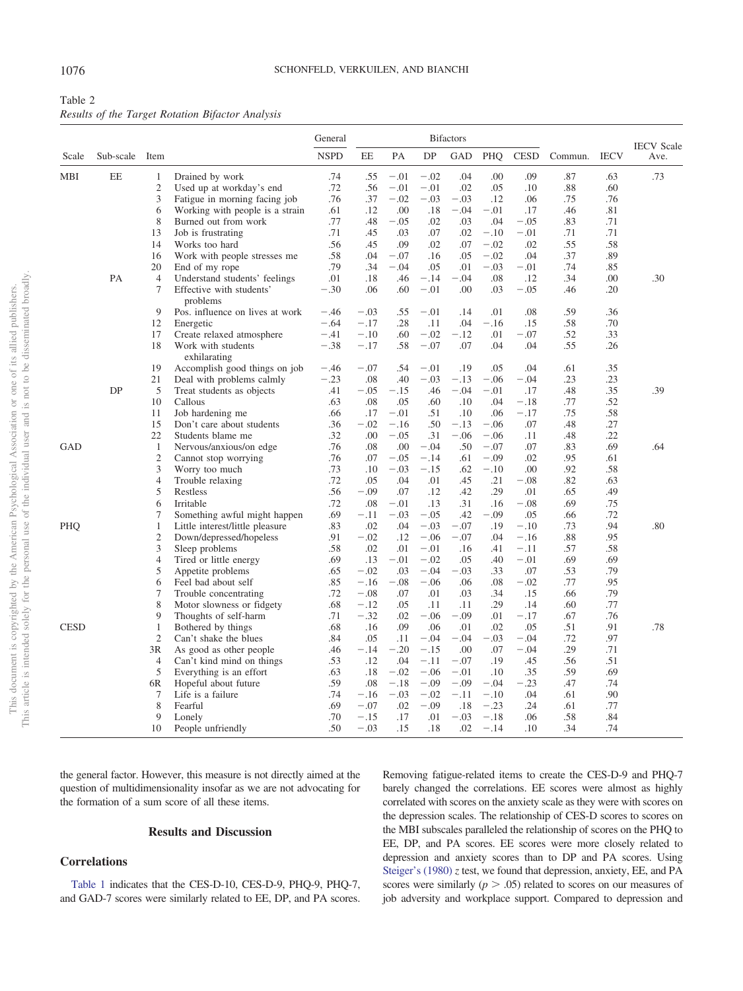<span id="page-3-0"></span>

| Table 2                                          |  |  |
|--------------------------------------------------|--|--|
| Results of the Target Rotation Bifactor Analysis |  |  |

|             |                |                     |                                                           | General       | <b>Bifactors</b> |            |                  |                  |            |                  |            | <b>IECV</b> Scale |      |
|-------------|----------------|---------------------|-----------------------------------------------------------|---------------|------------------|------------|------------------|------------------|------------|------------------|------------|-------------------|------|
| Scale       | Sub-scale Item |                     |                                                           | <b>NSPD</b>   | EE               | PA         | DP               | <b>GAD</b>       | PHQ        | <b>CESD</b>      | Commun.    | <b>IECV</b>       | Ave. |
| MBI         | EE             | $\mathbf{1}$        | Drained by work                                           | .74           | .55              | $-.01$     | $-.02$           | .04              | .00        | .09              | .87        | .63               | .73  |
|             |                | $\mathfrak{2}$      | Used up at workday's end                                  | .72           | .56              | $-.01$     | $-.01$           | .02              | .05        | .10              | .88        | .60               |      |
|             |                | 3                   | Fatigue in morning facing job                             | .76           | .37              | $-.02$     | $-.03$           | $-.03$           | .12        | .06              | .75        | .76               |      |
|             |                | 6                   | Working with people is a strain                           | .61           | .12              | .00        | .18              | $-.04$           | $-.01$     | .17              | .46        | .81               |      |
|             |                | 8                   | Burned out from work                                      | .77           | .48              | $-.05$     | .02              | .03              | .04        | $-.05$           | .83        | .71               |      |
|             |                | 13                  | Job is frustrating                                        | .71           | .45              | .03        | .07              | .02              | $-.10$     | $-.01$           | .71        | .71               |      |
|             |                | 14                  | Works too hard                                            | .56           | .45              | .09        | .02              | .07              | $-.02$     | .02              | .55        | .58               |      |
|             |                | 16                  | Work with people stresses me                              | .58           | .04              | $-.07$     | .16              | .05              | $-.02$     | .04              | .37        | .89               |      |
|             |                | 20                  | End of my rope                                            | .79           | .34              | $-.04$     | .05              | .01              | $-.03$     | $-.01$           | .74        | .85               |      |
|             | PA             | $\overline{4}$<br>7 | Understand students' feelings<br>Effective with students' | .01<br>$-.30$ | .18<br>.06       | .46<br>.60 | $-.14$<br>$-.01$ | $-.04$<br>.00    | .08<br>.03 | .12<br>$-.05$    | .34<br>.46 | .00<br>.20        | .30  |
|             |                |                     | problems                                                  |               |                  |            |                  |                  |            |                  |            |                   |      |
|             |                | 9                   | Pos. influence on lives at work                           | $-.46$        | $-.03$           | .55        | $-.01$           | .14              | .01        | .08              | .59        | .36               |      |
|             |                | 12                  | Energetic                                                 | $-.64$        | $-.17$           | .28        | .11              | .04              | $-.16$     | .15              | .58        | .70               |      |
|             |                | 17                  | Create relaxed atmosphere                                 | $-.41$        | $-.10$           | .60        | $-.02$           | $-.12$           | .01        | $-.07$           | .52        | .33               |      |
|             |                | 18                  | Work with students<br>exhilarating                        | $-.38$        | $-.17$           | .58        | $-.07$           | .07              | .04        | .04              | .55        | .26               |      |
|             |                | 19                  | Accomplish good things on job                             | $-.46$        | $-.07$           | .54        | $-.01$           | .19              | .05        | .04              | .61        | .35               |      |
|             |                | 21                  | Deal with problems calmly                                 | $-.23$        | .08              | .40        | $-.03$           | $-.13$           | $-.06$     | $-.04$           | .23        | .23               |      |
|             | DP             | 5                   | Treat students as objects                                 | .41           | $-.05$           | $-.15$     | .46              | $-.04$           | $-.01$     | .17              | .48        | .35               | .39  |
|             |                | 10                  | Callous                                                   | .63           | .08              | .05        | .60              | .10              | .04        | $-.18$           | .77        | .52               |      |
|             |                | 11                  | Job hardening me                                          | .66           | .17              | $-.01$     | .51              | .10              | .06        | $-.17$           | .75        | .58               |      |
|             |                | 15                  | Don't care about students                                 | .36           | $-.02$           | $-.16$     | .50              | $-.13$           | $-.06$     | .07              | .48        | .27               |      |
|             |                | 22                  | Students blame me                                         | .32           | .00              | $-.05$     | .31              | $-.06$           | $-.06$     | .11              | .48        | .22               |      |
| GAD         |                | $\mathbf{1}$        | Nervous/anxious/on edge                                   | .76           | .08              | .00        | $-.04$           | .50              | $-.07$     | .07              | .83        | .69               | .64  |
|             |                | $\sqrt{2}$          | Cannot stop worrying                                      | .76           | .07              | $-.05$     | $-.14$           | .61              | $-.09$     | .02              | .95        | .61               |      |
|             |                | $\mathfrak{Z}$      | Worry too much                                            | .73           | .10              | $-.03$     | $-.15$           | .62              | $-.10$     | .00              | .92        | .58               |      |
|             |                | $\overline{4}$      | Trouble relaxing                                          | .72           | .05              | .04        | .01              | .45              | .21        | $-.08$           | .82        | .63               |      |
|             |                | $\mathfrak s$       | Restless                                                  | .56           | $-.09$           | .07        | .12              | .42              | .29        | .01              | .65        | .49               |      |
|             |                | 6                   | Irritable                                                 | .72           | .08              | $-.01$     | .13              | .31              | .16        | $-.08$           | .69        | .75               |      |
|             |                | $\tau$              | Something awful might happen                              | .69           | $-.11$           | $-.03$     | $-.05$           | .42              | $-.09$     | .05              | .66        | .72               |      |
| PHQ         |                | $\mathbf{1}$        | Little interest/little pleasure                           | .83<br>.91    | .02<br>$-.02$    | .04        | $-.03$           | $-.07$<br>$-.07$ | .19<br>.04 | $-.10$<br>$-.16$ | .73<br>.88 | .94<br>.95        | .80  |
|             |                | $\sqrt{2}$<br>3     | Down/depressed/hopeless                                   | .58           | .02              | .12<br>.01 | $-.06$<br>$-.01$ | .16              | .41        | $-.11$           | .57        | .58               |      |
|             |                | $\overline{4}$      | Sleep problems<br>Tired or little energy                  | .69           | .13              | $-.01$     | $-.02$           | .05              | .40        | $-.01$           | .69        | .69               |      |
|             |                | 5                   | Appetite problems                                         | .65           | $-.02$           | .03        | $-.04$           | $-.03$           | .33        | .07              | .53        | .79               |      |
|             |                | 6                   | Feel bad about self                                       | .85           | $-.16$           | $-.08$     | $-.06$           | .06              | .08        | $-.02$           | .77        | .95               |      |
|             |                | $\tau$              | Trouble concentrating                                     | .72           | $-.08$           | .07        | .01              | .03              | .34        | .15              | .66        | .79               |      |
|             |                | 8                   | Motor slowness or fidgety                                 | .68           | $-.12$           | .05        | .11              | .11              | .29        | .14              | .60        | .77               |      |
|             |                | 9                   | Thoughts of self-harm                                     | .71           | $-.32$           | .02        | $-.06$           | $-.09$           | .01        | $-.17$           | .67        | .76               |      |
| <b>CESD</b> |                | $\mathbf{1}$        | Bothered by things                                        | .68           | .16              | .09        | .06              | .01              | .02        | .05              | .51        | .91               | .78  |
|             |                | $\mathfrak{2}$      | Can't shake the blues                                     | .84           | .05              | .11        | $-.04$           | $-.04$           | $-.03$     | $-.04$           | .72        | .97               |      |
|             |                | 3R                  | As good as other people                                   | .46           | $-.14$           | $-.20$     | $-.15$           | .00              | .07        | $-.04$           | .29        | .71               |      |
|             |                | $\overline{4}$      | Can't kind mind on things                                 | .53           | .12              | .04        | $-.11$           | $-.07$           | .19        | .45              | .56        | .51               |      |
|             |                | 5                   | Everything is an effort                                   | .63           | .18              | $-.02$     | $-.06$           | $-.01$           | .10        | .35              | .59        | .69               |      |
|             |                | 6R                  | Hopeful about future                                      | .59           | .08              | $-.18$     | $-.09$           | $-.09$           | $-.04$     | $-.23$           | .47        | .74               |      |
|             |                | $\tau$              | Life is a failure                                         | .74           | $-.16$           | $-.03$     | $-.02$           | $-.11$           | $-.10$     | .04              | .61        | .90               |      |
|             |                | 8                   | Fearful                                                   | .69           | $-.07$           | .02        | $-.09$           | .18              | $-.23$     | .24              | .61        | .77               |      |
|             |                | 9                   | Lonely                                                    | .70           | $-.15$           | .17        | .01              | $-.03$           | $-.18$     | .06              | .58        | .84               |      |
|             |                | 10                  | People unfriendly                                         | .50           | $-.03$           | .15        | .18              | .02              | $-.14$     | .10              | .34        | .74               |      |

the general factor. However, this measure is not directly aimed at the question of multidimensionality insofar as we are not advocating for the formation of a sum score of all these items.

#### **Results and Discussion**

#### **Correlations**

[Table 1](#page-2-0) indicates that the CES-D-10, CES-D-9, PHQ-9, PHQ-7, and GAD-7 scores were similarly related to EE, DP, and PA scores.

Removing fatigue-related items to create the CES-D-9 and PHQ-7 barely changed the correlations. EE scores were almost as highly correlated with scores on the anxiety scale as they were with scores on the depression scales. The relationship of CES-D scores to scores on the MBI subscales paralleled the relationship of scores on the PHQ to EE, DP, and PA scores. EE scores were more closely related to depression and anxiety scores than to DP and PA scores. Using [Steiger's \(1980\)](#page-6-7) *z* test, we found that depression, anxiety, EE, and PA scores were similarly  $(p > .05)$  related to scores on our measures of job adversity and workplace support. Compared to depression and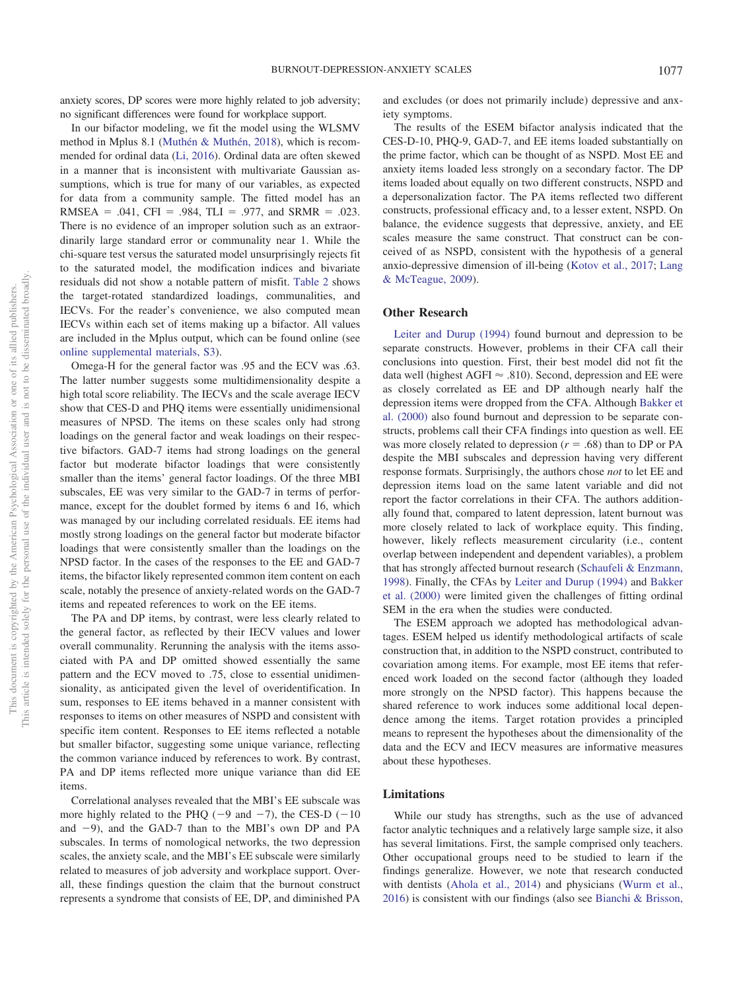anxiety scores, DP scores were more highly related to job adversity; no significant differences were found for workplace support.

In our bifactor modeling, we fit the model using the WLSMV method in Mplus 8.1 [\(Muthén & Muthén, 2018\)](#page-5-20), which is recommended for ordinal data [\(Li, 2016\)](#page-5-21). Ordinal data are often skewed in a manner that is inconsistent with multivariate Gaussian assumptions, which is true for many of our variables, as expected for data from a community sample. The fitted model has an  $RMSEA = .041$ ,  $CFI = .984$ ,  $TLI = .977$ , and  $SRMR = .023$ . There is no evidence of an improper solution such as an extraordinarily large standard error or communality near 1. While the chi-square test versus the saturated model unsurprisingly rejects fit to the saturated model, the modification indices and bivariate residuals did not show a notable pattern of misfit. [Table 2](#page-3-0) shows the target-rotated standardized loadings, communalities, and IECVs. For the reader's convenience, we also computed mean IECVs within each set of items making up a bifactor. All values are included in the Mplus output, which can be found online (see [online supplemental materials, S3\)](http://dx.doi.org/10.1037/pas0000721.supp).

Omega-H for the general factor was .95 and the ECV was .63. The latter number suggests some multidimensionality despite a high total score reliability. The IECVs and the scale average IECV show that CES-D and PHQ items were essentially unidimensional measures of NPSD. The items on these scales only had strong loadings on the general factor and weak loadings on their respective bifactors. GAD-7 items had strong loadings on the general factor but moderate bifactor loadings that were consistently smaller than the items' general factor loadings. Of the three MBI subscales, EE was very similar to the GAD-7 in terms of performance, except for the doublet formed by items 6 and 16, which was managed by our including correlated residuals. EE items had mostly strong loadings on the general factor but moderate bifactor loadings that were consistently smaller than the loadings on the NPSD factor. In the cases of the responses to the EE and GAD-7 items, the bifactor likely represented common item content on each scale, notably the presence of anxiety-related words on the GAD-7 items and repeated references to work on the EE items.

The PA and DP items, by contrast, were less clearly related to the general factor, as reflected by their IECV values and lower overall communality. Rerunning the analysis with the items associated with PA and DP omitted showed essentially the same pattern and the ECV moved to .75, close to essential unidimensionality, as anticipated given the level of overidentification. In sum, responses to EE items behaved in a manner consistent with responses to items on other measures of NSPD and consistent with specific item content. Responses to EE items reflected a notable but smaller bifactor, suggesting some unique variance, reflecting the common variance induced by references to work. By contrast, PA and DP items reflected more unique variance than did EE items.

Correlational analyses revealed that the MBI's EE subscale was more highly related to the PHQ ( $-9$  and  $-7$ ), the CES-D ( $-10$ ) and  $-9$ ), and the GAD-7 than to the MBI's own DP and PA subscales. In terms of nomological networks, the two depression scales, the anxiety scale, and the MBI's EE subscale were similarly related to measures of job adversity and workplace support. Overall, these findings question the claim that the burnout construct represents a syndrome that consists of EE, DP, and diminished PA

and excludes (or does not primarily include) depressive and anxiety symptoms.

The results of the ESEM bifactor analysis indicated that the CES-D-10, PHQ-9, GAD-7, and EE items loaded substantially on the prime factor, which can be thought of as NSPD. Most EE and anxiety items loaded less strongly on a secondary factor. The DP items loaded about equally on two different constructs, NSPD and a depersonalization factor. The PA items reflected two different constructs, professional efficacy and, to a lesser extent, NSPD. On balance, the evidence suggests that depressive, anxiety, and EE scales measure the same construct. That construct can be conceived of as NSPD, consistent with the hypothesis of a general anxio-depressive dimension of ill-being [\(Kotov et al., 2017;](#page-5-22) [Lang](#page-5-23) [& McTeague, 2009\)](#page-5-23).

### **Other Research**

[Leiter and Durup \(1994\)](#page-5-24) found burnout and depression to be separate constructs. However, problems in their CFA call their conclusions into question. First, their best model did not fit the data well (highest AGFI  $\approx$  .810). Second, depression and EE were as closely correlated as EE and DP although nearly half the depression items were dropped from the CFA. Although [Bakker et](#page-5-25) [al. \(2000\)](#page-5-25) also found burnout and depression to be separate constructs, problems call their CFA findings into question as well. EE was more closely related to depression  $(r = .68)$  than to DP or PA despite the MBI subscales and depression having very different response formats. Surprisingly, the authors chose *not* to let EE and depression items load on the same latent variable and did not report the factor correlations in their CFA. The authors additionally found that, compared to latent depression, latent burnout was more closely related to lack of workplace equity. This finding, however, likely reflects measurement circularity (i.e., content overlap between independent and dependent variables), a problem that has strongly affected burnout research [\(Schaufeli & Enzmann,](#page-5-26) [1998\)](#page-5-26). Finally, the CFAs by [Leiter and Durup \(1994\)](#page-5-24) and [Bakker](#page-5-25) [et al. \(2000\)](#page-5-25) were limited given the challenges of fitting ordinal SEM in the era when the studies were conducted.

The ESEM approach we adopted has methodological advantages. ESEM helped us identify methodological artifacts of scale construction that, in addition to the NSPD construct, contributed to covariation among items. For example, most EE items that referenced work loaded on the second factor (although they loaded more strongly on the NPSD factor). This happens because the shared reference to work induces some additional local dependence among the items. Target rotation provides a principled means to represent the hypotheses about the dimensionality of the data and the ECV and IECV measures are informative measures about these hypotheses.

#### **Limitations**

While our study has strengths, such as the use of advanced factor analytic techniques and a relatively large sample size, it also has several limitations. First, the sample comprised only teachers. Other occupational groups need to be studied to learn if the findings generalize. However, we note that research conducted with dentists [\(Ahola et al., 2014\)](#page-5-2) and physicians [\(Wurm et al.,](#page-6-0) [2016\)](#page-6-0) is consistent with our findings (also see [Bianchi & Brisson,](#page-5-27)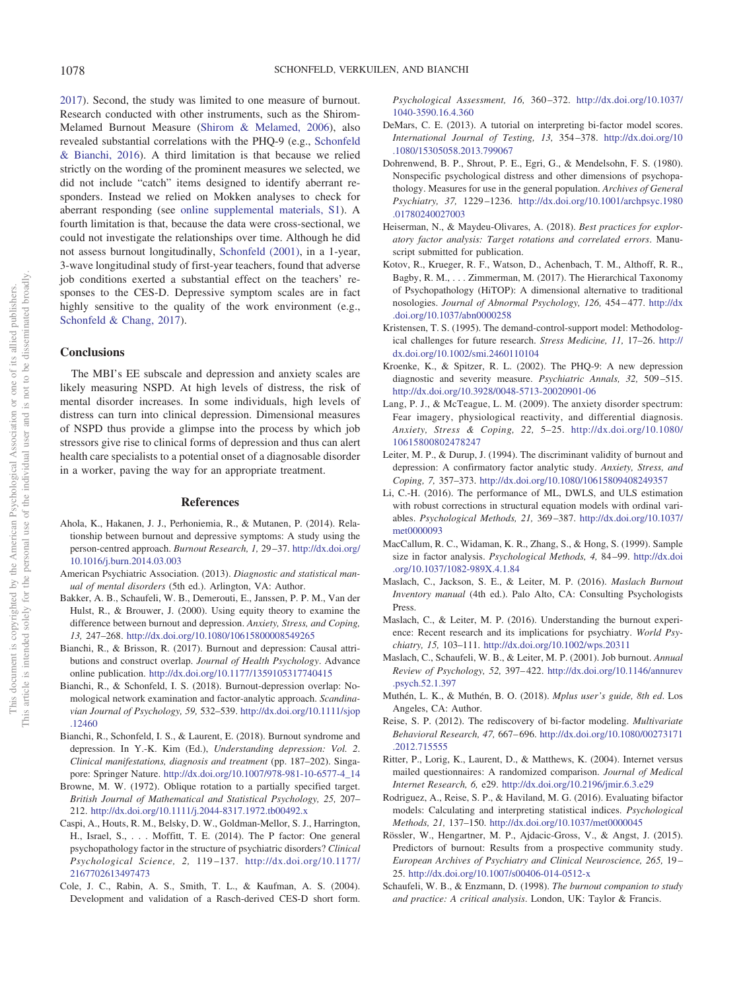[2017\)](#page-5-27). Second, the study was limited to one measure of burnout. Research conducted with other instruments, such as the Shirom-Melamed Burnout Measure [\(Shirom & Melamed, 2006\)](#page-6-8), also revealed substantial correlations with the PHQ-9 (e.g., [Schonfeld](#page-6-1) [& Bianchi, 2016\)](#page-6-1). A third limitation is that because we relied strictly on the wording of the prominent measures we selected, we did not include "catch" items designed to identify aberrant responders. Instead we relied on Mokken analyses to check for aberrant responding (see [online supplemental materials, S1\)](http://dx.doi.org/10.1037/pas0000721.supp). A fourth limitation is that, because the data were cross-sectional, we could not investigate the relationships over time. Although he did not assess burnout longitudinally, [Schonfeld \(2001\),](#page-6-6) in a 1-year, 3-wave longitudinal study of first-year teachers, found that adverse job conditions exerted a substantial effect on the teachers' responses to the CES-D. Depressive symptom scales are in fact highly sensitive to the quality of the work environment (e.g., [Schonfeld & Chang, 2017\)](#page-6-2).

#### **Conclusions**

The MBI's EE subscale and depression and anxiety scales are likely measuring NSPD. At high levels of distress, the risk of mental disorder increases. In some individuals, high levels of distress can turn into clinical depression. Dimensional measures of NSPD thus provide a glimpse into the process by which job stressors give rise to clinical forms of depression and thus can alert health care specialists to a potential onset of a diagnosable disorder in a worker, paving the way for an appropriate treatment.

### **References**

- <span id="page-5-2"></span>Ahola, K., Hakanen, J. J., Perhoniemia, R., & Mutanen, P. (2014). Relationship between burnout and depressive symptoms: A study using the person-centred approach. *Burnout Research, 1,* 29 –37. [http://dx.doi.org/](http://dx.doi.org/10.1016/j.burn.2014.03.003) [10.1016/j.burn.2014.03.003](http://dx.doi.org/10.1016/j.burn.2014.03.003)
- <span id="page-5-12"></span>American Psychiatric Association. (2013). *Diagnostic and statistical manual of mental disorders* (5th ed.). Arlington, VA: Author.
- <span id="page-5-25"></span>Bakker, A. B., Schaufeli, W. B., Demerouti, E., Janssen, P. P. M., Van der Hulst, R., & Brouwer, J. (2000). Using equity theory to examine the difference between burnout and depression. *Anxiety, Stress, and Coping, 13,* 247–268. <http://dx.doi.org/10.1080/10615800008549265>
- <span id="page-5-27"></span>Bianchi, R., & Brisson, R. (2017). Burnout and depression: Causal attributions and construct overlap. *Journal of Health Psychology*. Advance online publication. <http://dx.doi.org/10.1177/1359105317740415>
- <span id="page-5-3"></span>Bianchi, R., & Schonfeld, I. S. (2018). Burnout-depression overlap: Nomological network examination and factor-analytic approach. *Scandinavian Journal of Psychology, 59,* 532–539. [http://dx.doi.org/10.1111/sjop](http://dx.doi.org/10.1111/sjop.12460) [.12460](http://dx.doi.org/10.1111/sjop.12460)
- <span id="page-5-4"></span>Bianchi, R., Schonfeld, I. S., & Laurent, E. (2018). Burnout syndrome and depression. In Y.-K. Kim (Ed.), *Understanding depression: Vol. 2*. *Clinical manifestations, diagnosis and treatment* (pp. 187–202). Singapore: Springer Nature. [http://dx.doi.org/10.1007/978-981-10-6577-4\\_14](http://dx.doi.org/10.1007/978-981-10-6577-4_14)
- <span id="page-5-19"></span>Browne, M. W. (1972). Oblique rotation to a partially specified target. *British Journal of Mathematical and Statistical Psychology, 25,* 207– 212. <http://dx.doi.org/10.1111/j.2044-8317.1972.tb00492.x>
- <span id="page-5-6"></span>Caspi, A., Houts, R. M., Belsky, D. W., Goldman-Mellor, S. J., Harrington, H., Israel, S.,... Moffitt, T. E. (2014). The P factor: One general psychopathology factor in the structure of psychiatric disorders? *Clinical Psychological Science, 2,* 119 –137. [http://dx.doi.org/10.1177/](http://dx.doi.org/10.1177/2167702613497473) [2167702613497473](http://dx.doi.org/10.1177/2167702613497473)
- <span id="page-5-9"></span>Cole, J. C., Rabin, A. S., Smith, T. L., & Kaufman, A. S. (2004). Development and validation of a Rasch-derived CES-D short form.

*Psychological Assessment, 16,* 360 –372. [http://dx.doi.org/10.1037/](http://dx.doi.org/10.1037/1040-3590.16.4.360) [1040-3590.16.4.360](http://dx.doi.org/10.1037/1040-3590.16.4.360)

- <span id="page-5-14"></span>DeMars, C. E. (2013). A tutorial on interpreting bi-factor model scores. *International Journal of Testing, 13,* 354 –378. [http://dx.doi.org/10](http://dx.doi.org/10.1080/15305058.2013.799067) [.1080/15305058.2013.799067](http://dx.doi.org/10.1080/15305058.2013.799067)
- <span id="page-5-7"></span>Dohrenwend, B. P., Shrout, P. E., Egri, G., & Mendelsohn, F. S. (1980). Nonspecific psychological distress and other dimensions of psychopathology. Measures for use in the general population. *Archives of General Psychiatry, 37,* 1229 –1236. [http://dx.doi.org/10.1001/archpsyc.1980](http://dx.doi.org/10.1001/archpsyc.1980.01780240027003) [.01780240027003](http://dx.doi.org/10.1001/archpsyc.1980.01780240027003)
- <span id="page-5-18"></span>Heiserman, N., & Maydeu-Olivares, A. (2018). *Best practices for exploratory factor analysis: Target rotations and correlated errors*. Manuscript submitted for publication.
- <span id="page-5-22"></span>Kotov, R., Krueger, R. F., Watson, D., Achenbach, T. M., Althoff, R. R., Bagby, R. M.,... Zimmerman, M. (2017). The Hierarchical Taxonomy of Psychopathology (HiTOP): A dimensional alternative to traditional nosologies. *Journal of Abnormal Psychology, 126,* 454 – 477. [http://dx](http://dx.doi.org/10.1037/abn0000258) [.doi.org/10.1037/abn0000258](http://dx.doi.org/10.1037/abn0000258)
- <span id="page-5-11"></span>Kristensen, T. S. (1995). The demand-control-support model: Methodological challenges for future research. *Stress Medicine, 11,* 17–26. [http://](http://dx.doi.org/10.1002/smi.2460110104) [dx.doi.org/10.1002/smi.2460110104](http://dx.doi.org/10.1002/smi.2460110104)
- <span id="page-5-8"></span>Kroenke, K., & Spitzer, R. L. (2002). The PHQ-9: A new depression diagnostic and severity measure. *Psychiatric Annals, 32,* 509 –515. <http://dx.doi.org/10.3928/0048-5713-20020901-06>
- <span id="page-5-23"></span>Lang, P. J., & McTeague, L. M. (2009). The anxiety disorder spectrum: Fear imagery, physiological reactivity, and differential diagnosis. *Anxiety, Stress & Coping, 22,* 5–25. [http://dx.doi.org/10.1080/](http://dx.doi.org/10.1080/10615800802478247) [10615800802478247](http://dx.doi.org/10.1080/10615800802478247)
- <span id="page-5-24"></span>Leiter, M. P., & Durup, J. (1994). The discriminant validity of burnout and depression: A confirmatory factor analytic study. *Anxiety, Stress, and Coping, 7,* 357–373. <http://dx.doi.org/10.1080/10615809408249357>
- <span id="page-5-21"></span>Li, C.-H. (2016). The performance of ML, DWLS, and ULS estimation with robust corrections in structural equation models with ordinal variables. *Psychological Methods, 21,* 369 –387. [http://dx.doi.org/10.1037/](http://dx.doi.org/10.1037/met0000093) [met0000093](http://dx.doi.org/10.1037/met0000093)
- <span id="page-5-17"></span>MacCallum, R. C., Widaman, K. R., Zhang, S., & Hong, S. (1999). Sample size in factor analysis. *Psychological Methods, 4,* 84 –99. [http://dx.doi](http://dx.doi.org/10.1037/1082-989X.4.1.84) [.org/10.1037/1082-989X.4.1.84](http://dx.doi.org/10.1037/1082-989X.4.1.84)
- <span id="page-5-0"></span>Maslach, C., Jackson, S. E., & Leiter, M. P. (2016). *Maslach Burnout Inventory manual* (4th ed.). Palo Alto, CA: Consulting Psychologists Press.
- <span id="page-5-13"></span>Maslach, C., & Leiter, M. P. (2016). Understanding the burnout experience: Recent research and its implications for psychiatry. *World Psychiatry, 15,* 103–111. <http://dx.doi.org/10.1002/wps.20311>
- <span id="page-5-1"></span>Maslach, C., Schaufeli, W. B., & Leiter, M. P. (2001). Job burnout. *Annual Review of Psychology, 52,* 397– 422. [http://dx.doi.org/10.1146/annurev](http://dx.doi.org/10.1146/annurev.psych.52.1.397) [.psych.52.1.397](http://dx.doi.org/10.1146/annurev.psych.52.1.397)
- <span id="page-5-20"></span>Muthén, L. K., & Muthén, B. O. (2018). *Mplus user's guide, 8th ed*. Los Angeles, CA: Author.
- <span id="page-5-15"></span>Reise, S. P. (2012). The rediscovery of bi-factor modeling. *Multivariate Behavioral Research, 47,* 667– 696. [http://dx.doi.org/10.1080/00273171](http://dx.doi.org/10.1080/00273171.2012.715555) [.2012.715555](http://dx.doi.org/10.1080/00273171.2012.715555)
- <span id="page-5-10"></span>Ritter, P., Lorig, K., Laurent, D., & Matthews, K. (2004). Internet versus mailed questionnaires: A randomized comparison. *Journal of Medical Internet Research, 6,* e29. <http://dx.doi.org/10.2196/jmir.6.3.e29>
- <span id="page-5-16"></span>Rodriguez, A., Reise, S. P., & Haviland, M. G. (2016). Evaluating bifactor models: Calculating and interpreting statistical indices. *Psychological Methods, 21,* 137–150. <http://dx.doi.org/10.1037/met0000045>
- <span id="page-5-5"></span>Rössler, W., Hengartner, M. P., Ajdacic-Gross, V., & Angst, J. (2015). Predictors of burnout: Results from a prospective community study. *European Archives of Psychiatry and Clinical Neuroscience, 265,* 19 – 25. <http://dx.doi.org/10.1007/s00406-014-0512-x>
- <span id="page-5-26"></span>Schaufeli, W. B., & Enzmann, D. (1998). *The burnout companion to study and practice: A critical analysis*. London, UK: Taylor & Francis.